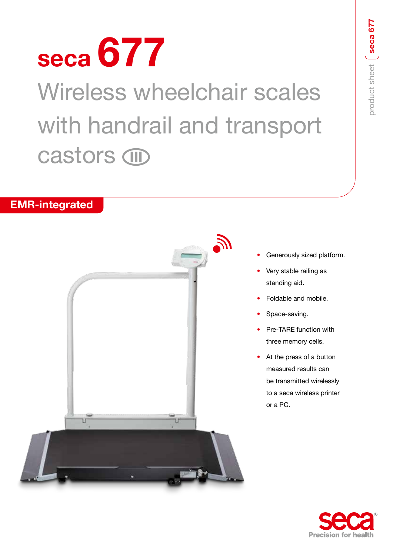# **seca 677** Wireless wheelchair scales with handrail and transport castors **m**

## **EMR-integrated**



- Generously sized platform.
- Very stable railing as standing aid.
- Foldable and mobile.
- Space-saving.
- Pre-TARE function with three memory cells.
- At the press of a button measured results can be transmitted wirelessly to a seca wireless printer or a PC.